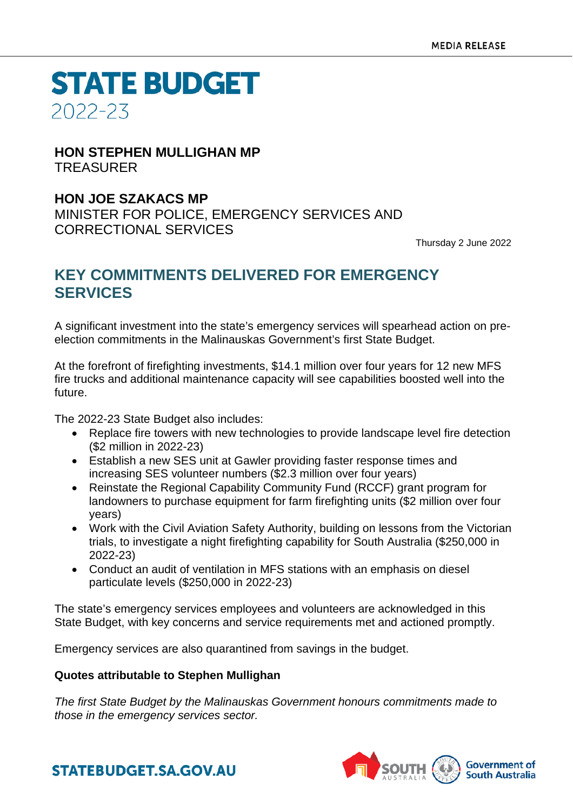**STATE BUDGET** 2022-23

#### **HON STEPHEN MULLIGHAN MP TREASURER**

### **HON JOE SZAKACS MP**

MINISTER FOR POLICE, EMERGENCY SERVICES AND CORRECTIONAL SERVICES

Thursday 2 June 2022

## **KEY COMMITMENTS DELIVERED FOR EMERGENCY SERVICES**

A significant investment into the state's emergency services will spearhead action on preelection commitments in the Malinauskas Government's first State Budget.

At the forefront of firefighting investments, \$14.1 million over four years for 12 new MFS fire trucks and additional maintenance capacity will see capabilities boosted well into the future.

The 2022-23 State Budget also includes:

- Replace fire towers with new technologies to provide landscape level fire detection (\$2 million in 2022-23)
- Establish a new SES unit at Gawler providing faster response times and increasing SES volunteer numbers (\$2.3 million over four years)
- Reinstate the Regional Capability Community Fund (RCCF) grant program for landowners to purchase equipment for farm firefighting units (\$2 million over four years)
- Work with the Civil Aviation Safety Authority, building on lessons from the Victorian trials, to investigate a night firefighting capability for South Australia (\$250,000 in 2022-23)
- Conduct an audit of ventilation in MFS stations with an emphasis on diesel particulate levels (\$250,000 in 2022-23)

The state's emergency services employees and volunteers are acknowledged in this State Budget, with key concerns and service requirements met and actioned promptly.

Emergency services are also quarantined from savings in the budget.

#### **Quotes attributable to Stephen Mullighan**

*The first State Budget by the Malinauskas Government honours commitments made to those in the emergency services sector.*